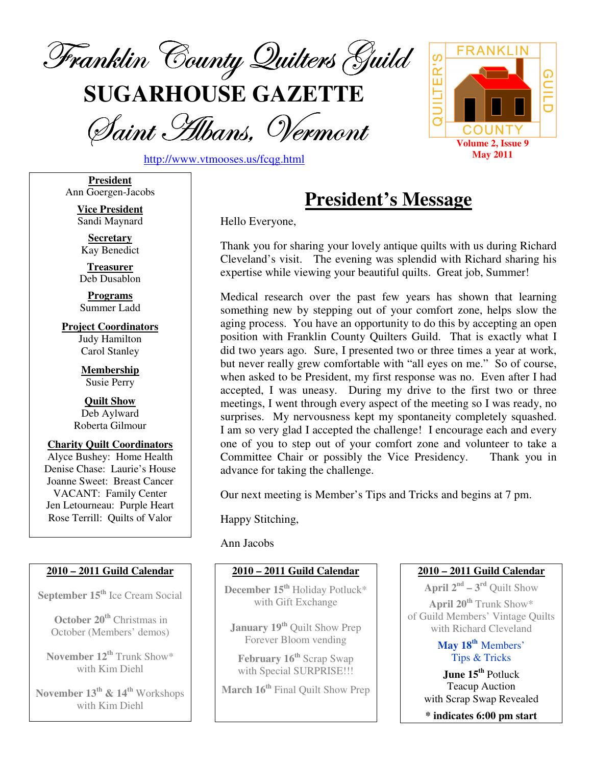

**SUGARHOUSE GAZETTE**

Saint Albans, Vermont





**President** Ann Goergen-Jacobs

> **Vice President** Sandi Maynard

**Secretary** Kay Benedict

**Treasurer** Deb Dusablon

**Programs** Summer Ladd

**Project Coordinators** Judy Hamilton Carol Stanley

> **Membership** Susie Perry

**Quilt Show** Deb Aylward Roberta Gilmour

**Charity Quilt Coordinators** Alyce Bushey: Home Health Denise Chase: Laurie's House Joanne Sweet: Breast Cancer VACANT: Family Center Jen Letourneau: Purple Heart Rose Terrill: Quilts of Valor

### **2010 – 2011 Guild Calendar**

**September 15 th** Ice Cream Social

**October 20 th** Christmas in October (Members' demos)

**November 12 th** Trunk Show\* with Kim Diehl

**November 13 th & 14 th** Workshops with Kim Diehl

# **President's Message**

Hello Everyone,

Thank you for sharing your lovely antique quilts with us during Richard Cleveland's visit. The evening was splendid with Richard sharing his expertise while viewing your beautiful quilts. Great job, Summer!

Medical research over the past few years has shown that learning something new by stepping out of your comfort zone, helps slow the aging process. You have an opportunity to do this by accepting an open position with Franklin County Quilters Guild. That is exactly what I did two years ago. Sure, I presented two or three times a year at work, but never really grew comfortable with "all eyes on me." So of course, when asked to be President, my first response was no. Even after I had accepted, I was uneasy. During my drive to the first two or three meetings, I went through every aspect of the meeting so I was ready, no surprises. My nervousness kept my spontaneity completely squashed. I am so very glad I accepted the challenge! I encourage each and every one of you to step out of your comfort zone and volunteer to take a Committee Chair or possibly the Vice Presidency. Thank you in advance for taking the challenge.

Our next meeting is Member's Tips and Tricks and begins at 7 pm.

Happy Stitching,

#### Ann Jacobs

### **2010 – 2011 Guild Calendar**

**December 15 th** Holiday Potluck\* with Gift Exchange

**January 19 th** Quilt Show Prep Forever Bloom vending

**February 16 th** Scrap Swap with Special SURPRISE!!!

**March 16 th** Final Quilt Show Prep

### **2010 – 2011 Guild Calendar**

**April**  $2^{nd} - 3^{rd}$  Quilt Show **April 20 th** Trunk Show\* of Guild Members' Vintage Quilts

with Richard Cleveland

**May 18 th** Members' Tips & Tricks

**June 15 th** Potluck Teacup Auction with Scrap Swap Revealed

**\* indicates 6:00 pm start**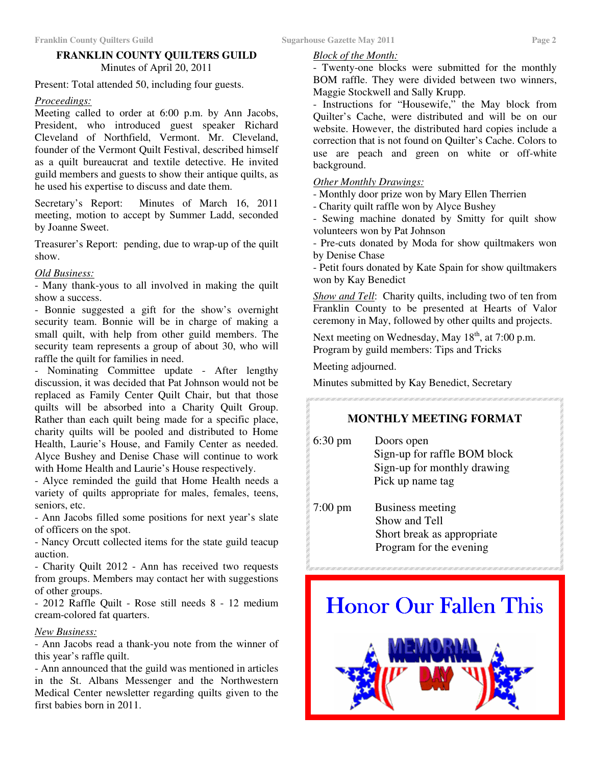### **FRANKLIN COUNTY QUILTERS GUILD** Minutes of April 20, 2011

Present: Total attended 50, including four guests.

#### *Proceedings:*

Meeting called to order at 6:00 p.m. by Ann Jacobs, President, who introduced guest speaker Richard Cleveland of Northfield, Vermont. Mr. Cleveland, founder of the Vermont Quilt Festival, described himself as a quilt bureaucrat and textile detective. He invited guild members and guests to show their antique quilts, as he used his expertise to discuss and date them.

Secretary's Report: Minutes of March 16, 2011 meeting, motion to accept by Summer Ladd, seconded by Joanne Sweet.

Treasurer's Report: pending, due to wrap-up of the quilt show.

#### *Old Business:*

- Many thank-yous to all involved in making the quilt show a success.

- Bonnie suggested a gift for the show's overnight security team. Bonnie will be in charge of making a small quilt, with help from other guild members. The security team represents a group of about 30, who will raffle the quilt for families in need.

- Nominating Committee update - After lengthy discussion, it was decided that Pat Johnson would not be replaced as Family Center Quilt Chair, but that those quilts will be absorbed into a Charity Quilt Group. Rather than each quilt being made for a specific place, charity quilts will be pooled and distributed to Home Health, Laurie's House, and Family Center as needed. Alyce Bushey and Denise Chase will continue to work with Home Health and Laurie's House respectively.

- Alyce reminded the guild that Home Health needs a variety of quilts appropriate for males, females, teens, seniors, etc.

- Ann Jacobs filled some positions for next year's slate of officers on the spot.

- Nancy Orcutt collected items for the state guild teacup auction.

- Charity Quilt 2012 - Ann has received two requests from groups. Members may contact her with suggestions of other groups.

- 2012 Raffle Quilt - Rose still needs 8 - 12 medium cream-colored fat quarters.

### *New Business:*

- Ann Jacobs read a thank-you note from the winner of this year's raffle quilt.

- Ann announced that the guild was mentioned in articles in the St. Albans Messenger and the Northwestern Medical Center newsletter regarding quilts given to the first babies born in 2011.

#### *Block of the Month:*

- Twenty-one blocks were submitted for the monthly BOM raffle. They were divided between two winners, Maggie Stockwell and Sally Krupp.

- Instructions for "Housewife," the May block from Quilter's Cache, were distributed and will be on our website. However, the distributed hard copies include a correction that is not found on Quilter's Cache. Colors to use are peach and green on white or off-white background.

#### *Other Monthly Drawings:*

- Monthly door prize won by Mary Ellen Therrien

- Charity quilt raffle won by Alyce Bushey

- Sewing machine donated by Smitty for quilt show volunteers won by Pat Johnson

- Pre-cuts donated by Moda for show quiltmakers won by Denise Chase

- Petit fours donated by Kate Spain for show quiltmakers won by Kay Benedict

*Show and Tell*: Charity quilts, including two of ten from Franklin County to be presented at Hearts of Valor ceremony in May, followed by other quilts and projects.

Next meeting on Wednesday, May 18<sup>th</sup>, at 7:00 p.m. Program by guild members: Tips and Tricks

Meeting adjourned.

Minutes submitted by Kay Benedict, Secretary 

### **MONTHLY MEETING FORMAT**

- 6:30 pm Doors open Sign-up for raffle BOM block Sign-up for monthly drawing Pick up name tag
- 7:00 pm Business meeting Show and Tell Short break as appropriate Program for the evening

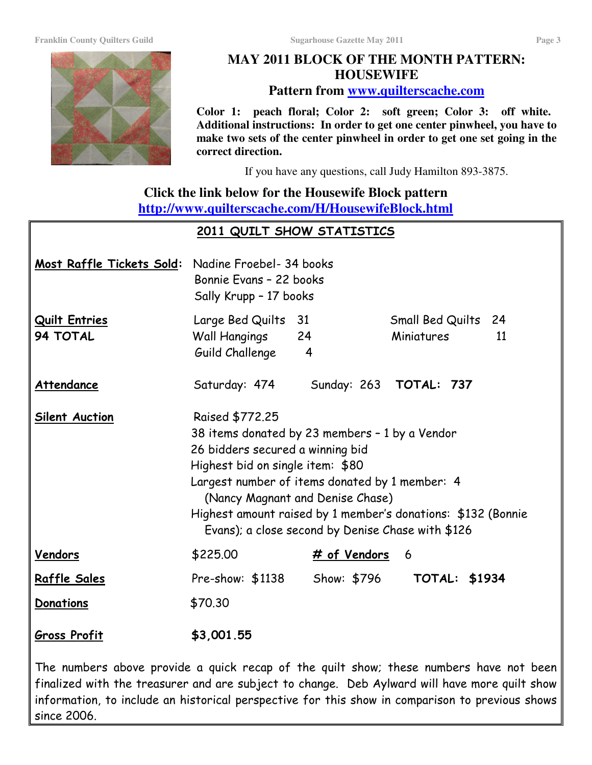**Franklin County Quilters Guild Sugarhouse Gazette May 2011 Page 3**

### **HOUSEWIFE Pattern from www.quilterscache.com**

**Color 1: peach floral; Color 2: soft green; Color 3: off white. Additional instructions: In order to get one center pinwheel, you have to make two sets of the center pinwheel in order to get one set going in the correct direction.**

If you have any questions, call Judy Hamilton 893-3875.

## **Click the link below for the Housewife Block pattern http://www.quilterscache.com/H/HousewifeBlock.html**

### <u> 2011 QUILT SHOW STATISTICS</u>

| Most Raffle Tickets Sold:        | Nadine Froebel- 34 books<br>Bonnie Evans - 22 books<br>Sally Krupp - 17 books                                                                                                                                                                                                                                                                        |                            |                                            |
|----------------------------------|------------------------------------------------------------------------------------------------------------------------------------------------------------------------------------------------------------------------------------------------------------------------------------------------------------------------------------------------------|----------------------------|--------------------------------------------|
| <b>Quilt Entries</b><br>94 TOTAL | Large Bed Quilts<br>Wall Hangings<br>Guild Challenge                                                                                                                                                                                                                                                                                                 | 31<br>24<br>$\overline{4}$ | Small Bed Quilts<br>24<br>Miniatures<br>11 |
| Attendance                       | Saturday: 474                                                                                                                                                                                                                                                                                                                                        |                            | Sunday: 263 <b>TOTAL: 737</b>              |
| <b>Silent Auction</b>            | Raised \$772.25<br>38 items donated by 23 members - 1 by a Vendor<br>26 bidders secured a winning bid<br>Highest bid on single item: \$80<br>Largest number of items donated by 1 member: 4<br>(Nancy Magnant and Denise Chase)<br>Highest amount raised by 1 member's donations: \$132 (Bonnie<br>Evans); a close second by Denise Chase with \$126 |                            |                                            |
| Vendors                          | \$225.00                                                                                                                                                                                                                                                                                                                                             | # of Vendors               | 6                                          |
| <u>Raffle Sales</u>              | Pre-show: \$1138                                                                                                                                                                                                                                                                                                                                     | Show: \$796                | <b>TOTAL: \$1934</b>                       |
| Donations                        | \$70.30                                                                                                                                                                                                                                                                                                                                              |                            |                                            |
| <b>Gross Profit</b>              | \$3,001.55                                                                                                                                                                                                                                                                                                                                           |                            |                                            |

The numbers above provide a quick recap of the quilt show; these numbers have not been finalized with the treasurer and are subject to change. Deb Aylward will have more quilt show information, to include an historical perspective for this show in comparison to previous shows since 2006.

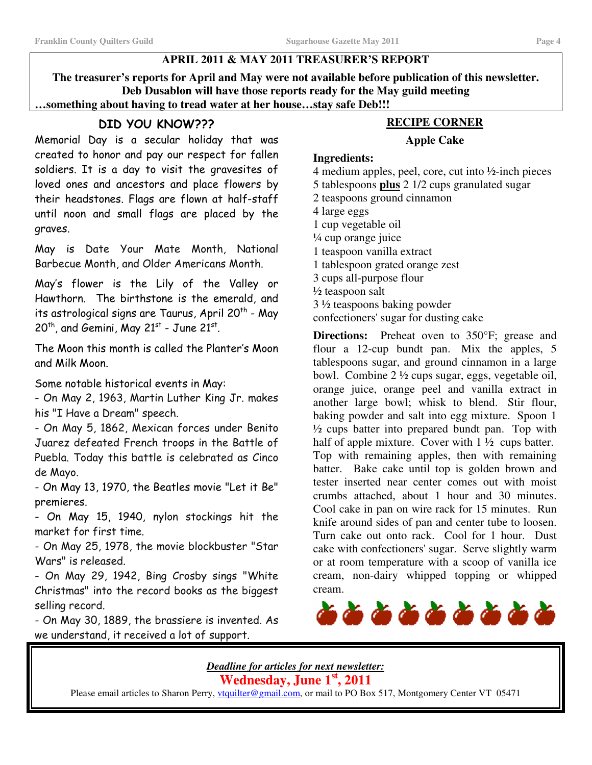### **APRIL 2011 & MAY 2011 TREASURER'S REPORT**

**The treasurer's reports for April and May were not available before publication of this newsletter. Deb Dusablon will have those reports ready for the May guild meeting …something about having to tread water at her house…stay safe Deb!!!**

### DID YOU KNOW???

Memorial Day is a secular holiday that was created to honor and pay our respect for fallen soldiers. It is a day to visit the gravesites of loved ones and ancestors and place flowers by their headstones. Flags are flown at half-staff until noon and small flags are placed by the graves.

May is Date Your Mate Month, National Barbecue Month, and Older Americans Month.

May's flower is the Lily of the Valley or Hawthorn. The birthstone is the emerald, and its astrological signs are Taurus, April 20<sup>th</sup> - May  $20<sup>th</sup>$ , and Gemini, May 21st - June 21st.

The Moon this month is called the Planter's Moon and Milk Moon.

Some notable historical events in May:

- On May 2, 1963, Martin Luther King Jr. makes his "I Have a Dream" speech.

- On May 5, 1862, Mexican forces under Benito Juarez defeated French troops in the Battle of Puebla. Today this battle is celebrated as Cinco de Mayo.

- On May 13, 1970, the Beatles movie "Let it Be" premieres.

- On May 15, 1940, nylon stockings hit the market for first time.

- On May 25, 1978, the movie blockbuster "Star Wars" is released.

- On May 29, 1942, Bing Crosby sings "White Christmas" into the record books as the biggest selling record.

- On May 30, 1889, the brassiere is invented. As we understand, it received a lot of support.

### **RECIPE CORNER**

#### **Apple Cake**

#### **Ingredients:**

 medium apples, peel, core, cut into ½-inch pieces tablespoons **plus** 2 1/2 cups granulated sugar teaspoons ground cinnamon large eggs cup vegetable oil ¼ cup orange juice teaspoon vanilla extract tablespoon grated orange zest cups all-purpose flour ½ teaspoon salt ½ teaspoons baking powder

confectioners'sugar for dusting cake

**Directions:** Preheat oven to 350°F; grease and flour a 12-cup bundt pan. Mix the apples, 5 tablespoons sugar, and ground cinnamon in a large bowl. Combine 2 ½ cups sugar, eggs, vegetable oil, orange juice, orange peel and vanilla extract in another large bowl; whisk to blend. Stir flour, baking powder and salt into egg mixture. Spoon 1  $\frac{1}{2}$  cups batter into prepared bundt pan. Top with half of apple mixture. Cover with  $1\frac{1}{2}$  cups batter. Top with remaining apples, then with remaining batter. Bake cake until top is golden brown and tester inserted near center comes out with moist crumbs attached, about 1 hour and 30 minutes. Cool cake in pan on wire rack for 15 minutes. Run knife around sides of pan and center tube to loosen. Turn cake out onto rack. Cool for 1 hour. Dust cake with confectioners'sugar. Serve slightly warm or at room temperature with a scoop of vanilla ice cream, non-dairy whipped topping or whipped cream.



*Deadline for articles for next newsletter:* **Wednesday, June 1 st , 2011**

Please email articles to Sharon Perry, *ytquilter@gmail.com*, or mail to PO Box 517, Montgomery Center VT 05471